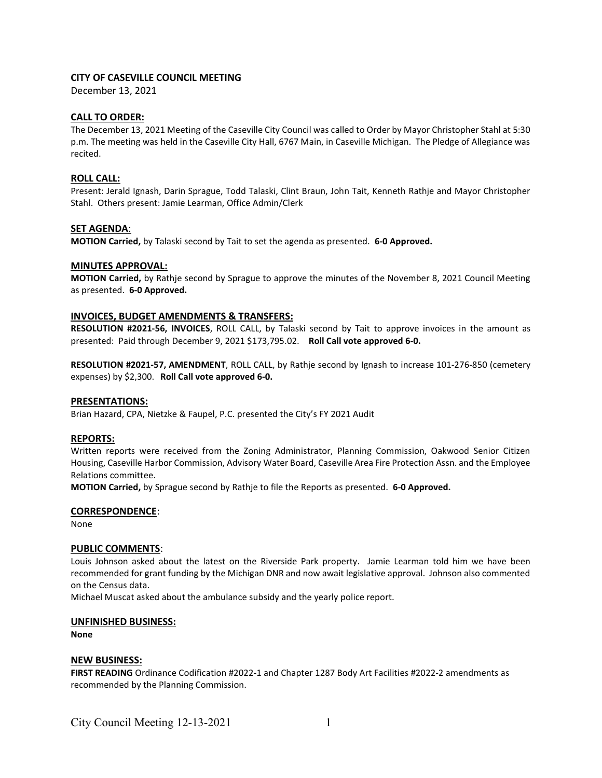# CITY OF CASEVILLE COUNCIL MEETING

December 13, 2021

## CALL TO ORDER:

The December 13, 2021 Meeting of the Caseville City Council was called to Order by Mayor Christopher Stahl at 5:30 p.m. The meeting was held in the Caseville City Hall, 6767 Main, in Caseville Michigan. The Pledge of Allegiance was recited.

## ROLL CALL:

Present: Jerald Ignash, Darin Sprague, Todd Talaski, Clint Braun, John Tait, Kenneth Rathje and Mayor Christopher Stahl. Others present: Jamie Learman, Office Admin/Clerk

## SET AGENDA:

MOTION Carried, by Talaski second by Tait to set the agenda as presented. 6-0 Approved.

## MINUTES APPROVAL:

MOTION Carried, by Rathje second by Sprague to approve the minutes of the November 8, 2021 Council Meeting as presented. 6-0 Approved.

## INVOICES, BUDGET AMENDMENTS & TRANSFERS:

RESOLUTION #2021-56, INVOICES, ROLL CALL, by Talaski second by Tait to approve invoices in the amount as presented: Paid through December 9, 2021 \$173,795.02. Roll Call vote approved 6-0.

RESOLUTION #2021-57, AMENDMENT, ROLL CALL, by Rathje second by Ignash to increase 101-276-850 (cemetery expenses) by \$2,300. Roll Call vote approved 6-0.

#### PRESENTATIONS:

Brian Hazard, CPA, Nietzke & Faupel, P.C. presented the City's FY 2021 Audit

#### REPORTS:

Written reports were received from the Zoning Administrator, Planning Commission, Oakwood Senior Citizen Housing, Caseville Harbor Commission, Advisory Water Board, Caseville Area Fire Protection Assn. and the Employee Relations committee.

MOTION Carried, by Sprague second by Rathje to file the Reports as presented. 6-0 Approved.

#### CORRESPONDENCE:

None

## PUBLIC COMMENTS:

Louis Johnson asked about the latest on the Riverside Park property. Jamie Learman told him we have been recommended for grant funding by the Michigan DNR and now await legislative approval. Johnson also commented on the Census data.

Michael Muscat asked about the ambulance subsidy and the yearly police report.

#### UNFINISHED BUSINESS:

None

#### NEW BUSINESS:

FIRST READING Ordinance Codification #2022-1 and Chapter 1287 Body Art Facilities #2022-2 amendments as recommended by the Planning Commission.

City Council Meeting  $12-13-2021$  1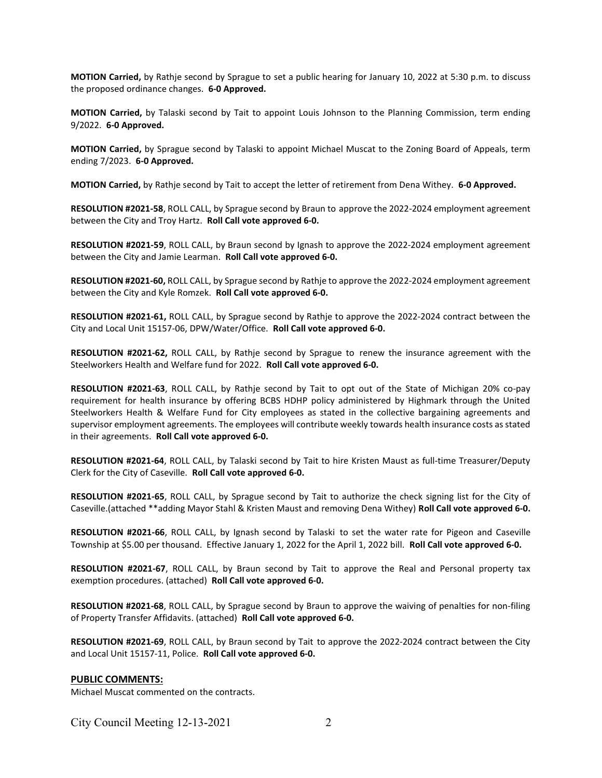MOTION Carried, by Rathje second by Sprague to set a public hearing for January 10, 2022 at 5:30 p.m. to discuss the proposed ordinance changes. 6-0 Approved.

MOTION Carried, by Talaski second by Tait to appoint Louis Johnson to the Planning Commission, term ending 9/2022. 6-0 Approved.

MOTION Carried, by Sprague second by Talaski to appoint Michael Muscat to the Zoning Board of Appeals, term ending 7/2023. 6-0 Approved.

MOTION Carried, by Rathje second by Tait to accept the letter of retirement from Dena Withey. 6-0 Approved.

RESOLUTION #2021-58, ROLL CALL, by Sprague second by Braun to approve the 2022-2024 employment agreement between the City and Troy Hartz. Roll Call vote approved 6-0.

RESOLUTION #2021-59, ROLL CALL, by Braun second by Ignash to approve the 2022-2024 employment agreement between the City and Jamie Learman. Roll Call vote approved 6-0.

RESOLUTION #2021-60, ROLL CALL, by Sprague second by Rathje to approve the 2022-2024 employment agreement between the City and Kyle Romzek. Roll Call vote approved 6-0.

RESOLUTION #2021-61, ROLL CALL, by Sprague second by Rathje to approve the 2022-2024 contract between the City and Local Unit 15157-06, DPW/Water/Office. Roll Call vote approved 6-0.

RESOLUTION #2021-62, ROLL CALL, by Rathje second by Sprague to renew the insurance agreement with the Steelworkers Health and Welfare fund for 2022. Roll Call vote approved 6-0.

RESOLUTION #2021-63, ROLL CALL, by Rathje second by Tait to opt out of the State of Michigan 20% co-pay requirement for health insurance by offering BCBS HDHP policy administered by Highmark through the United Steelworkers Health & Welfare Fund for City employees as stated in the collective bargaining agreements and supervisor employment agreements. The employees will contribute weekly towards health insurance costs as stated in their agreements. Roll Call vote approved 6-0.

RESOLUTION #2021-64, ROLL CALL, by Talaski second by Tait to hire Kristen Maust as full-time Treasurer/Deputy Clerk for the City of Caseville. Roll Call vote approved 6-0.

RESOLUTION #2021-65, ROLL CALL, by Sprague second by Tait to authorize the check signing list for the City of Caseville.(attached \*\*adding Mayor Stahl & Kristen Maust and removing Dena Withey) Roll Call vote approved 6-0.

RESOLUTION #2021-66, ROLL CALL, by Ignash second by Talaski to set the water rate for Pigeon and Caseville Township at \$5.00 per thousand. Effective January 1, 2022 for the April 1, 2022 bill. Roll Call vote approved 6-0.

RESOLUTION #2021-67, ROLL CALL, by Braun second by Tait to approve the Real and Personal property tax exemption procedures. (attached) Roll Call vote approved 6-0.

RESOLUTION #2021-68, ROLL CALL, by Sprague second by Braun to approve the waiving of penalties for non-filing of Property Transfer Affidavits. (attached) Roll Call vote approved 6-0.

RESOLUTION #2021-69, ROLL CALL, by Braun second by Tait to approve the 2022-2024 contract between the City and Local Unit 15157-11, Police. Roll Call vote approved 6-0.

#### PUBLIC COMMENTS:

Michael Muscat commented on the contracts.

City Council Meeting 12-13-2021 2